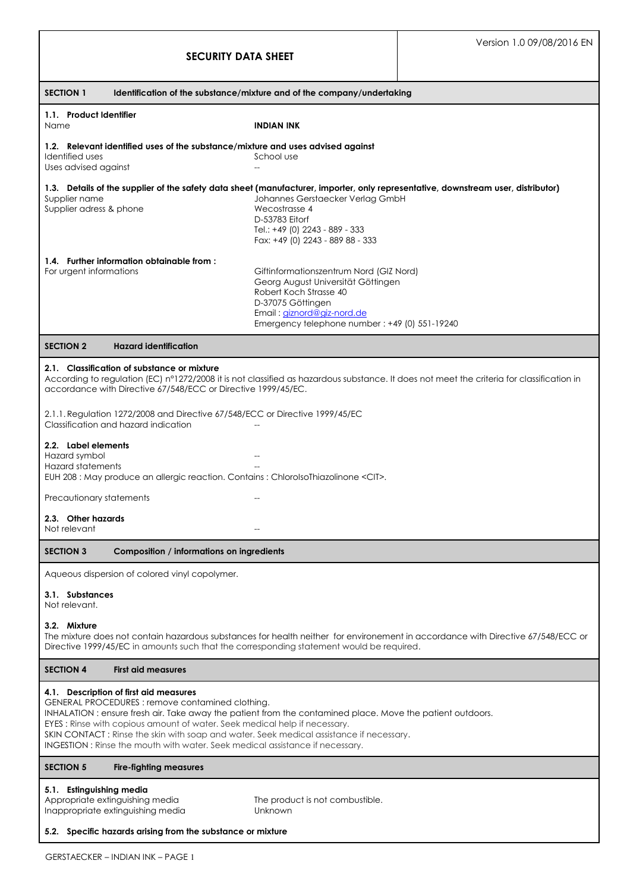| <b>SECURITY DATA SHEET</b>                                                                                                                                                                                                                                                                                                                                                                                                                                            |                                                                                                                                                                                                             | Version 1.0 09/08/2016 EN |  |
|-----------------------------------------------------------------------------------------------------------------------------------------------------------------------------------------------------------------------------------------------------------------------------------------------------------------------------------------------------------------------------------------------------------------------------------------------------------------------|-------------------------------------------------------------------------------------------------------------------------------------------------------------------------------------------------------------|---------------------------|--|
| <b>SECTION 1</b><br>Identification of the substance/mixture and of the company/undertaking                                                                                                                                                                                                                                                                                                                                                                            |                                                                                                                                                                                                             |                           |  |
| 1.1. Product Identifier<br>Name                                                                                                                                                                                                                                                                                                                                                                                                                                       | INDIAN INK                                                                                                                                                                                                  |                           |  |
| 1.2. Relevant identified uses of the substance/mixture and uses advised against<br>Identified uses<br>School use<br>Uses advised against<br>$\overline{a}$                                                                                                                                                                                                                                                                                                            |                                                                                                                                                                                                             |                           |  |
| 1.3. Details of the supplier of the safety data sheet (manufacturer, importer, only representative, downstream user, distributor)<br>Supplier name<br>Supplier adress & phone                                                                                                                                                                                                                                                                                         | Johannes Gerstaecker Verlag GmbH<br>Wecostrasse 4<br>D-53783 Eitorf<br>Tel.: +49 (0) 2243 - 889 - 333<br>Fax: +49 (0) 2243 - 889 88 - 333                                                                   |                           |  |
| 1.4. Further information obtainable from:<br>For urgent informations                                                                                                                                                                                                                                                                                                                                                                                                  | Giftinformationszentrum Nord (GIZ Nord)<br>Georg August Universität Göttingen<br>Robert Koch Strasse 40<br>D-37075 Göttingen<br>Email: giznord@giz-nord.de<br>Emergency telephone number: +49 (0) 551-19240 |                           |  |
| <b>SECTION 2</b><br><b>Hazard identification</b>                                                                                                                                                                                                                                                                                                                                                                                                                      |                                                                                                                                                                                                             |                           |  |
| 2.1. Classification of substance or mixture<br>According to regulation (EC) n°1272/2008 it is not classified as hazardous substance. It does not meet the criteria for classification in<br>accordance with Directive 67/548/ECC or Directive 1999/45/EC.                                                                                                                                                                                                             |                                                                                                                                                                                                             |                           |  |
| 2.1.1. Regulation 1272/2008 and Directive 67/548/ECC or Directive 1999/45/EC<br>Classification and hazard indication                                                                                                                                                                                                                                                                                                                                                  |                                                                                                                                                                                                             |                           |  |
| 2.2. Label elements<br>Hazard symbol<br>Hazard statements<br>EUH 208 : May produce an allergic reaction. Contains : ChlorolsoThiazolinone <cit>.</cit>                                                                                                                                                                                                                                                                                                                |                                                                                                                                                                                                             |                           |  |
| Precautionary statements                                                                                                                                                                                                                                                                                                                                                                                                                                              |                                                                                                                                                                                                             |                           |  |
| 2.3. Other hazards<br>Not relevant                                                                                                                                                                                                                                                                                                                                                                                                                                    |                                                                                                                                                                                                             |                           |  |
| <b>SECTION 3</b><br>Composition / informations on ingredients                                                                                                                                                                                                                                                                                                                                                                                                         |                                                                                                                                                                                                             |                           |  |
| Aqueous dispersion of colored vinyl copolymer.                                                                                                                                                                                                                                                                                                                                                                                                                        |                                                                                                                                                                                                             |                           |  |
| 3.1. Substances<br>Not relevant.                                                                                                                                                                                                                                                                                                                                                                                                                                      |                                                                                                                                                                                                             |                           |  |
| 3.2. Mixture<br>The mixture does not contain hazardous substances for health neither for environement in accordance with Directive 67/548/ECC or<br>Directive 1999/45/EC in amounts such that the corresponding statement would be required.                                                                                                                                                                                                                          |                                                                                                                                                                                                             |                           |  |
| <b>SECTION 4</b><br><b>First aid measures</b>                                                                                                                                                                                                                                                                                                                                                                                                                         |                                                                                                                                                                                                             |                           |  |
| 4.1. Description of first aid measures<br>GENERAL PROCEDURES: remove contamined clothing.<br>INHALATION: ensure fresh air. Take away the patient from the contamined place. Move the patient outdoors.<br>EYES: Rinse with copious amount of water. Seek medical help if necessary.<br>SKIN CONTACT: Rinse the skin with soap and water. Seek medical assistance if necessary.<br><b>INGESTION:</b> Rinse the mouth with water, Seek medical assistance if necessary. |                                                                                                                                                                                                             |                           |  |
| <b>SECTION 5</b><br><b>Fire-fighting measures</b>                                                                                                                                                                                                                                                                                                                                                                                                                     |                                                                                                                                                                                                             |                           |  |
| 5.1. Estinguishing media<br>Appropriate extinguishing media<br>Inappropriate extinguishing media<br>5.2. Specific hazards arising from the substance or mixture                                                                                                                                                                                                                                                                                                       | The product is not combustible.<br>Unknown                                                                                                                                                                  |                           |  |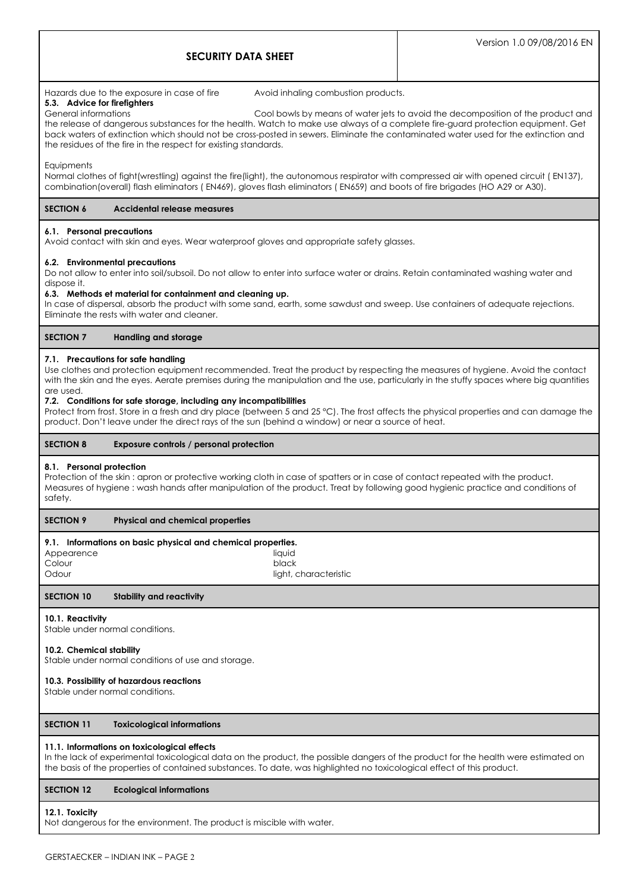# Hazards due to the exposure in case of fire Avoid inhaling combustion products.

**5.3. Advice for firefighters**

General informations Cool bowls by means of water jets to avoid the decomposition of the product and the release of dangerous substances for the health. Watch to make use always of a complete fire-guard protection equipment. Get back waters of extinction which should not be cross-posted in sewers. Eliminate the contaminated water used for the extinction and the residues of the fire in the respect for existing standards.

**Equipments** 

Normal clothes of fight(wrestling) against the fire(light), the autonomous respirator with compressed air with opened circuit ( EN137), combination(overall) flash eliminators ( EN469), gloves flash eliminators ( EN659) and boots of fire brigades (HO A29 or A30).

# **SECTION 6 Accidental release measures**

# **6.1. Personal precautions**

Avoid contact with skin and eyes. Wear waterproof gloves and appropriate safety glasses.

# **6.2. Environmental precautions**

Do not allow to enter into soil/subsoil. Do not allow to enter into surface water or drains. Retain contaminated washing water and dispose it.

### **6.3. Methods et material for containment and cleaning up.**

In case of dispersal, absorb the product with some sand, earth, some sawdust and sweep. Use containers of adequate rejections. Eliminate the rests with water and cleaner.

# **SECTION 7 Handling and storage**

# **7.1. Precautions for safe handling**

Use clothes and protection equipment recommended. Treat the product by respecting the measures of hygiene. Avoid the contact with the skin and the eyes. Aerate premises during the manipulation and the use, particularly in the stuffy spaces where big quantities are used.

### **7.2. Conditions for safe storage, including any incompatibilities**

Protect from frost. Store in a fresh and dry place (between 5 and 25 °C). The frost affects the physical properties and can damage the product. Don't leave under the direct rays of the sun (behind a window) or near a source of heat.

# **SECTION 8 Exposure controls / personal protection**

# **8.1. Personal protection**

Protection of the skin : apron or protective working cloth in case of spatters or in case of contact repeated with the product. Measures of hygiene : wash hands after manipulation of the product. Treat by following good hygienic practice and conditions of safety.

# **SECTION 9 Physical and chemical properties**

# **9.1. Informations on basic physical and chemical properties.**

| Appearence | liauid                |
|------------|-----------------------|
| Colour     | black                 |
| Odour      | light, characteristic |

# **SECTION 10 Stability and reactivity**

# **10.1. Reactivity**

Stable under normal conditions.

#### **10.2. Chemical stability**

Stable under normal conditions of use and storage.

# **10.3. Possibility of hazardous reactions**

Stable under normal conditions.

# **SECTION 11 Toxicological informations**

# **11.1. Informations on toxicological effects**

In the lack of experimental toxicological data on the product, the possible dangers of the product for the health were estimated on the basis of the properties of contained substances. To date, was highlighted no toxicological effect of this product.

# **SECTION 12 Ecological informations**

#### **12.1. Toxicity**

Not dangerous for the environment. The product is miscible with water.